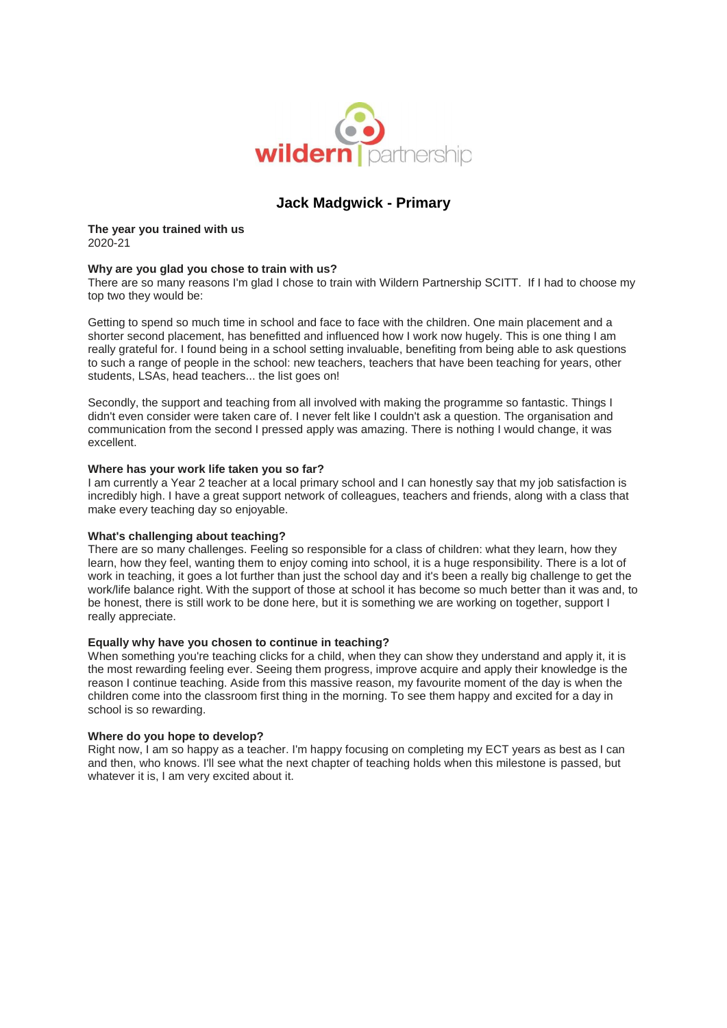

# **Jack Madgwick - Primary**

**The year you trained with us** 2020-21

## **Why are you glad you chose to train with us?**

There are so many reasons I'm glad I chose to train with Wildern Partnership SCITT. If I had to choose my top two they would be:

Getting to spend so much time in school and face to face with the children. One main placement and a shorter second placement, has benefitted and influenced how I work now hugely. This is one thing I am really grateful for. I found being in a school setting invaluable, benefiting from being able to ask questions to such a range of people in the school: new teachers, teachers that have been teaching for years, other students, LSAs, head teachers... the list goes on!

Secondly, the support and teaching from all involved with making the programme so fantastic. Things I didn't even consider were taken care of. I never felt like I couldn't ask a question. The organisation and communication from the second I pressed apply was amazing. There is nothing I would change, it was excellent.

### **Where has your work life taken you so far?**

I am currently a Year 2 teacher at a local primary school and I can honestly say that my job satisfaction is incredibly high. I have a great support network of colleagues, teachers and friends, along with a class that make every teaching day so enjoyable.

### **What's challenging about teaching?**

There are so many challenges. Feeling so responsible for a class of children: what they learn, how they learn, how they feel, wanting them to enjoy coming into school, it is a huge responsibility. There is a lot of work in teaching, it goes a lot further than just the school day and it's been a really big challenge to get the work/life balance right. With the support of those at school it has become so much better than it was and, to be honest, there is still work to be done here, but it is something we are working on together, support I really appreciate.

### **Equally why have you chosen to continue in teaching?**

When something you're teaching clicks for a child, when they can show they understand and apply it, it is the most rewarding feeling ever. Seeing them progress, improve acquire and apply their knowledge is the reason I continue teaching. Aside from this massive reason, my favourite moment of the day is when the children come into the classroom first thing in the morning. To see them happy and excited for a day in school is so rewarding.

### **Where do you hope to develop?**

Right now, I am so happy as a teacher. I'm happy focusing on completing my ECT years as best as I can and then, who knows. I'll see what the next chapter of teaching holds when this milestone is passed, but whatever it is, I am very excited about it.